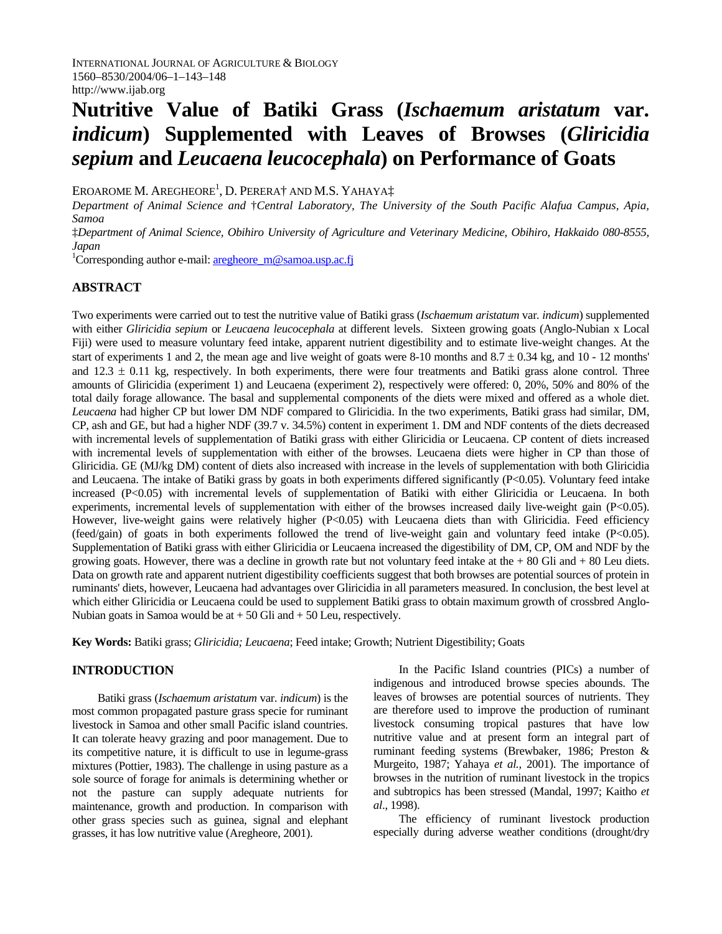# **Nutritive Value of Batiki Grass (***Ischaemum aristatum* **var.**  *indicum***) Supplemented with Leaves of Browses (***Gliricidia sepium* **and** *Leucaena leucocephala***) on Performance of Goats**

EROAROME M. AREGHEORE<sup>1</sup>, D. PERERA† AND M.S. YAHAYA‡

*Department of Animal Science and* †*Central Laboratory, The University of the South Pacific Alafua Campus, Apia, Samoa* 

‡*Department of Animal Science, Obihiro University of Agriculture and Veterinary Medicine, Obihiro, Hakkaido 080-8555, Japan* 

<sup>1</sup>Corresponding author e-mail: **aregheore** m@samoa.usp.ac.fj

## **ABSTRACT**

Two experiments were carried out to test the nutritive value of Batiki grass (*Ischaemum aristatum* var*. indicum*) supplemented with either *Gliricidia sepium* or *Leucaena leucocephala* at different levels. Sixteen growing goats (Anglo-Nubian x Local Fiji) were used to measure voluntary feed intake, apparent nutrient digestibility and to estimate live-weight changes. At the start of experiments 1 and 2, the mean age and live weight of goats were  $8-10$  months and  $8.7 \pm 0.34$  kg, and 10 - 12 months' and  $12.3 \pm 0.11$  kg, respectively. In both experiments, there were four treatments and Batiki grass alone control. Three amounts of Gliricidia (experiment 1) and Leucaena (experiment 2), respectively were offered: 0, 20%, 50% and 80% of the total daily forage allowance. The basal and supplemental components of the diets were mixed and offered as a whole diet. *Leucaena* had higher CP but lower DM NDF compared to Gliricidia. In the two experiments, Batiki grass had similar, DM, CP, ash and GE, but had a higher NDF (39.7 v. 34.5%) content in experiment 1. DM and NDF contents of the diets decreased with incremental levels of supplementation of Batiki grass with either Gliricidia or Leucaena. CP content of diets increased with incremental levels of supplementation with either of the browses. Leucaena diets were higher in CP than those of Gliricidia. GE (MJ/kg DM) content of diets also increased with increase in the levels of supplementation with both Gliricidia and Leucaena. The intake of Batiki grass by goats in both experiments differed significantly (P<0.05). Voluntary feed intake increased (P<0.05) with incremental levels of supplementation of Batiki with either Gliricidia or Leucaena. In both experiments, incremental levels of supplementation with either of the browses increased daily live-weight gain (P<0.05). However, live-weight gains were relatively higher (P<0.05) with Leucaena diets than with Gliricidia. Feed efficiency (feed/gain) of goats in both experiments followed the trend of live-weight gain and voluntary feed intake (P<0.05). Supplementation of Batiki grass with either Gliricidia or Leucaena increased the digestibility of DM, CP, OM and NDF by the growing goats. However, there was a decline in growth rate but not voluntary feed intake at the  $+80$  Gli and  $+80$  Leu diets. Data on growth rate and apparent nutrient digestibility coefficients suggest that both browses are potential sources of protein in ruminants' diets, however, Leucaena had advantages over Gliricidia in all parameters measured. In conclusion, the best level at which either Gliricidia or Leucaena could be used to supplement Batiki grass to obtain maximum growth of crossbred Anglo-Nubian goats in Samoa would be at + 50 Gli and + 50 Leu, respectively*.* 

**Key Words:** Batiki grass; *Gliricidia; Leucaena*; Feed intake; Growth; Nutrient Digestibility; Goats

# **INTRODUCTION**

Batiki grass (*Ischaemum aristatum* var. *indicum*) is the most common propagated pasture grass specie for ruminant livestock in Samoa and other small Pacific island countries. It can tolerate heavy grazing and poor management. Due to its competitive nature, it is difficult to use in legume-grass mixtures (Pottier, 1983). The challenge in using pasture as a sole source of forage for animals is determining whether or not the pasture can supply adequate nutrients for maintenance, growth and production. In comparison with other grass species such as guinea, signal and elephant grasses, it has low nutritive value (Aregheore, 2001).

In the Pacific Island countries (PICs) a number of indigenous and introduced browse species abounds. The leaves of browses are potential sources of nutrients. They are therefore used to improve the production of ruminant livestock consuming tropical pastures that have low nutritive value and at present form an integral part of ruminant feeding systems (Brewbaker, 1986; Preston & Murgeito, 1987; Yahaya *et al.,* 2001). The importance of browses in the nutrition of ruminant livestock in the tropics and subtropics has been stressed (Mandal, 1997; Kaitho *et al*., 1998).

The efficiency of ruminant livestock production especially during adverse weather conditions (drought/dry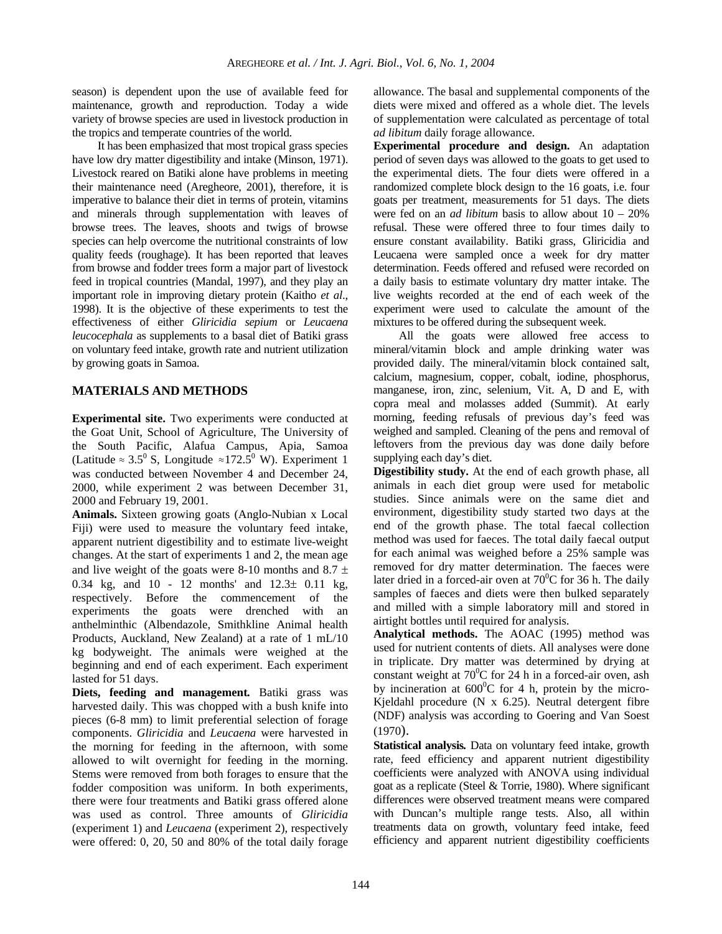season) is dependent upon the use of available feed for maintenance, growth and reproduction. Today a wide variety of browse species are used in livestock production in the tropics and temperate countries of the world.

It has been emphasized that most tropical grass species have low dry matter digestibility and intake (Minson, 1971). Livestock reared on Batiki alone have problems in meeting their maintenance need (Aregheore, 2001), therefore, it is imperative to balance their diet in terms of protein, vitamins and minerals through supplementation with leaves of browse trees. The leaves, shoots and twigs of browse species can help overcome the nutritional constraints of low quality feeds (roughage). It has been reported that leaves from browse and fodder trees form a major part of livestock feed in tropical countries (Mandal, 1997), and they play an important role in improving dietary protein (Kaitho *et al*., 1998). It is the objective of these experiments to test the effectiveness of either *Gliricidia sepium* or *Leucaena leucocephala* as supplements to a basal diet of Batiki grass on voluntary feed intake, growth rate and nutrient utilization by growing goats in Samoa.

## **MATERIALS AND METHODS**

**Experimental site.** Two experiments were conducted at the Goat Unit, School of Agriculture, The University of the South Pacific, Alafua Campus, Apia, Samoa (Latitude  $\approx 3.5^{\circ}$  S, Longitude  $\approx 172.5^{\circ}$  W). Experiment 1 was conducted between November 4 and December 24, 2000, while experiment 2 was between December 31, 2000 and February 19, 2001. **Animals.** Sixteen growing goats (Anglo-Nubian x Local

Fiji) were used to measure the voluntary feed intake, apparent nutrient digestibility and to estimate live-weight changes. At the start of experiments 1 and 2, the mean age and live weight of the goats were 8-10 months and 8.7  $\pm$ 0.34 kg, and 10 - 12 months' and 12.3± 0.11 kg, respectively. Before the commencement of the experiments the goats were drenched with an anthelminthic (Albendazole, Smithkline Animal health Products, Auckland, New Zealand) at a rate of 1 mL/10 kg bodyweight. The animals were weighed at the beginning and end of each experiment. Each experiment lasted for 51 days.

**Diets, feeding and management***.* Batiki grass was harvested daily. This was chopped with a bush knife into pieces (6-8 mm) to limit preferential selection of forage components. *Gliricidia* and *Leucaena* were harvested in the morning for feeding in the afternoon, with some allowed to wilt overnight for feeding in the morning. Stems were removed from both forages to ensure that the fodder composition was uniform. In both experiments, there were four treatments and Batiki grass offered alone was used as control. Three amounts of *Gliricidia* (experiment 1) and *Leucaena* (experiment 2), respectively were offered: 0, 20, 50 and 80% of the total daily forage

allowance. The basal and supplemental components of the diets were mixed and offered as a whole diet. The levels of supplementation were calculated as percentage of total *ad libitum* daily forage allowance.

**Experimental procedure and design.** An adaptation period of seven days was allowed to the goats to get used to the experimental diets. The four diets were offered in a randomized complete block design to the 16 goats, i.e. four goats per treatment, measurements for 51 days. The diets were fed on an *ad libitum* basis to allow about 10 – 20% refusal. These were offered three to four times daily to ensure constant availability. Batiki grass, Gliricidia and Leucaena were sampled once a week for dry matter determination. Feeds offered and refused were recorded on a daily basis to estimate voluntary dry matter intake. The live weights recorded at the end of each week of the experiment were used to calculate the amount of the mixtures to be offered during the subsequent week.

All the goats were allowed free access to mineral/vitamin block and ample drinking water was provided daily. The mineral/vitamin block contained salt, calcium, magnesium, copper, cobalt, iodine, phosphorus, manganese, iron, zinc, selenium, Vit. A, D and E, with copra meal and molasses added (Summit). At early morning, feeding refusals of previous day's feed was weighed and sampled. Cleaning of the pens and removal of leftovers from the previous day was done daily before supplying each day's diet.

**Digestibility study.** At the end of each growth phase, all animals in each diet group were used for metabolic studies. Since animals were on the same diet and environment, digestibility study started two days at the end of the growth phase. The total faecal collection method was used for faeces. The total daily faecal output for each animal was weighed before a 25% sample was removed for dry matter determination. The faeces were later dried in a forced-air oven at  $70^0$ C for 36 h. The daily samples of faeces and diets were then bulked separately and milled with a simple laboratory mill and stored in airtight bottles until required for analysis.

**Analytical methods.** The AOAC (1995) method was used for nutrient contents of diets. All analyses were done in triplicate. Dry matter was determined by drying at constant weight at  $70^{\circ}$ C for 24 h in a forced-air oven, ash by incineration at  $600^{\circ}$ C for 4 h, protein by the micro-Kjeldahl procedure (N x 6.25). Neutral detergent fibre (NDF) analysis was according to Goering and Van Soest (1970).

**Statistical analysis***.* Data on voluntary feed intake, growth rate, feed efficiency and apparent nutrient digestibility coefficients were analyzed with ANOVA using individual goat as a replicate (Steel & Torrie, 1980). Where significant differences were observed treatment means were compared with Duncan's multiple range tests. Also, all within treatments data on growth, voluntary feed intake, feed efficiency and apparent nutrient digestibility coefficients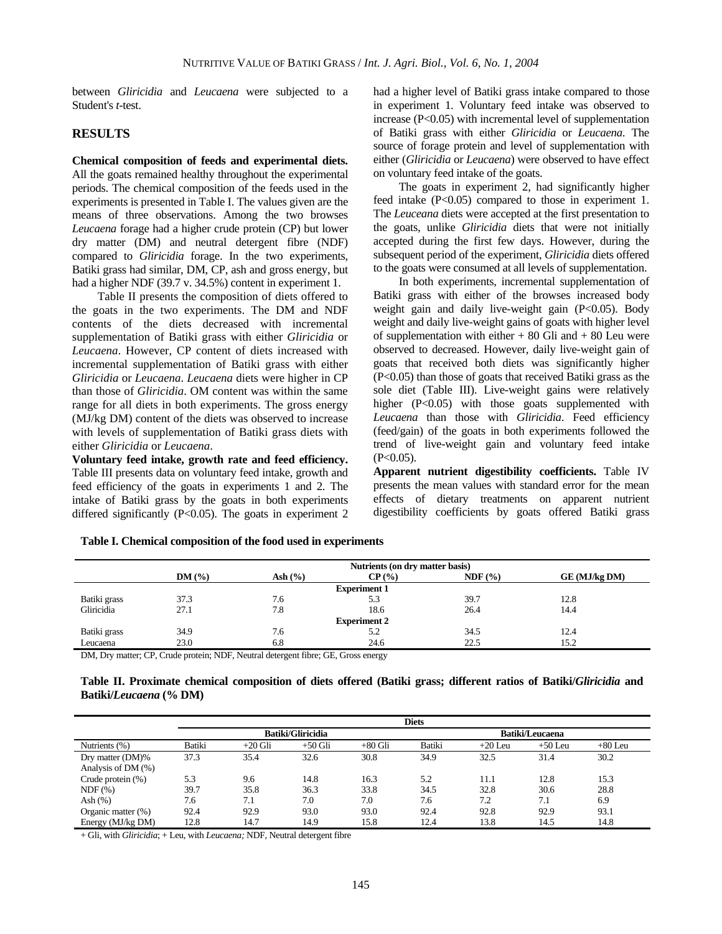between *Gliricidia* and *Leucaena* were subjected to a Student's *t*-test.

#### **RESULTS**

## **Chemical composition of feeds and experimental diets.**  All the goats remained healthy throughout the experimental periods. The chemical composition of the feeds used in the experiments is presented in Table I. The values given are the means of three observations. Among the two browses *Leucaena* forage had a higher crude protein (CP) but lower dry matter (DM) and neutral detergent fibre (NDF) compared to *Gliricidia* forage. In the two experiments, Batiki grass had similar, DM, CP, ash and gross energy, but

had a higher NDF (39.7 v. 34.5%) content in experiment 1.

Table II presents the composition of diets offered to the goats in the two experiments. The DM and NDF contents of the diets decreased with incremental supplementation of Batiki grass with either *Gliricidia* or *Leucaena*. However, CP content of diets increased with incremental supplementation of Batiki grass with either *Gliricidia* or *Leucaena*. *Leucaena* diets were higher in CP than those of *Gliricidia*. OM content was within the same range for all diets in both experiments. The gross energy (MJ/kg DM) content of the diets was observed to increase with levels of supplementation of Batiki grass diets with either *Gliricidia* or *Leucaena*.

**Voluntary feed intake, growth rate and feed efficiency.**  Table III presents data on voluntary feed intake, growth and feed efficiency of the goats in experiments 1 and 2. The intake of Batiki grass by the goats in both experiments differed significantly  $(P<0.05)$ . The goats in experiment 2 had a higher level of Batiki grass intake compared to those in experiment 1. Voluntary feed intake was observed to increase (P<0.05) with incremental level of supplementation of Batiki grass with either *Gliricidia* or *Leucaena*. The source of forage protein and level of supplementation with either (*Gliricidia* or *Leucaena*) were observed to have effect on voluntary feed intake of the goats.

The goats in experiment 2, had significantly higher feed intake (P<0.05) compared to those in experiment 1. The *Leuceana* diets were accepted at the first presentation to the goats, unlike *Gliricidia* diets that were not initially accepted during the first few days. However, during the subsequent period of the experiment, *Gliricidia* diets offered to the goats were consumed at all levels of supplementation.

In both experiments, incremental supplementation of Batiki grass with either of the browses increased body weight gain and daily live-weight gain (P<0.05). Body weight and daily live-weight gains of goats with higher level of supplementation with either  $+80$  Gli and  $+80$  Leu were observed to decreased. However, daily live-weight gain of goats that received both diets was significantly higher (P<0.05) than those of goats that received Batiki grass as the sole diet (Table III). Live-weight gains were relatively higher (P<0.05) with those goats supplemented with *Leucaena* than those with *Gliricidia*. Feed efficiency (feed/gain) of the goats in both experiments followed the trend of live-weight gain and voluntary feed intake  $(P<0.05)$ .

**Apparent nutrient digestibility coefficients.** Table IV presents the mean values with standard error for the mean effects of dietary treatments on apparent nutrient digestibility coefficients by goats offered Batiki grass

|                     | Nutrients (on dry matter basis) |             |          |        |               |  |  |  |  |
|---------------------|---------------------------------|-------------|----------|--------|---------------|--|--|--|--|
|                     | DM(%)                           | Ash $(\% )$ | $CP($ %) | NDF(%) | GE (MJ/kg DM) |  |  |  |  |
| <b>Experiment 1</b> |                                 |             |          |        |               |  |  |  |  |
| Batiki grass        | 37.3                            | 7.6         | 5.3      | 39.7   | 12.8          |  |  |  |  |
| Gliricidia          | 27.1                            | 7.8         | 18.6     | 26.4   | 14.4          |  |  |  |  |
| <b>Experiment 2</b> |                                 |             |          |        |               |  |  |  |  |
| Batiki grass        | 34.9                            | 7.6         | 5.2      | 34.5   | 12.4          |  |  |  |  |
| Leucaena            | 23.0                            | 6.8         | 24.6     | 22.5   | 15.2          |  |  |  |  |

**Table I. Chemical composition of the food used in experiments** 

DM, Dry matter; CP, Crude protein; NDF, Neutral detergent fibre; GE, Gross energy

| Table II. Proximate chemical composition of diets offered (Batiki grass; different ratios of Batiki/Gliricidia and |  |  |  |  |  |  |
|--------------------------------------------------------------------------------------------------------------------|--|--|--|--|--|--|
| Batiki/Leucaena (% DM)                                                                                             |  |  |  |  |  |  |

|                      | <b>Diets</b> |           |                          |           |                 |           |           |           |  |
|----------------------|--------------|-----------|--------------------------|-----------|-----------------|-----------|-----------|-----------|--|
|                      |              |           | <b>Batiki/Gliricidia</b> |           | Batiki/Leucaena |           |           |           |  |
| Nutrients (%)        | Batiki       | $+20$ Gli | $+50$ Gli                | $+80$ Gli | Batiki          | $+20$ Leu | $+50$ Leu | $+80$ Leu |  |
| Dry matter (DM)%     | 37.3         | 35.4      | 32.6                     | 30.8      | 34.9            | 32.5      | 31.4      | 30.2      |  |
| Analysis of DM (%)   |              |           |                          |           |                 |           |           |           |  |
| Crude protein $(\%)$ | 5.3          | 9.6       | 14.8                     | 16.3      | 5.2             | 11.1      | 12.8      | 15.3      |  |
| NDF(%)               | 39.7         | 35.8      | 36.3                     | 33.8      | 34.5            | 32.8      | 30.6      | 28.8      |  |
| Ash $(%)$            | 7.6          | 7.1       | 7.0                      | 7.0       | 7.6             | 7.2       | 7.1       | 6.9       |  |
| Organic matter (%)   | 92.4         | 92.9      | 93.0                     | 93.0      | 92.4            | 92.8      | 92.9      | 93.1      |  |
| Energy (MJ/kg DM)    | 12.8         | 14.7      | 14.9                     | 15.8      | 12.4            | 13.8      | 14.5      | 14.8      |  |

+ Gli, with *Gliricidia*; + Leu, with *Leucaena;* NDF, Neutral detergent fibre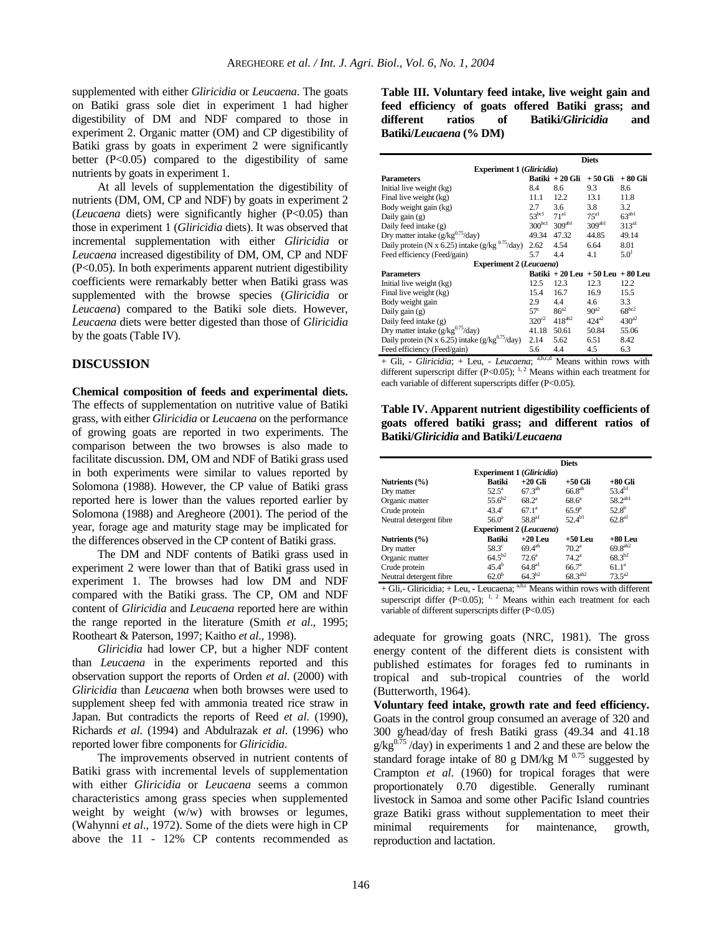supplemented with either *Gliricidia* or *Leucaena*. The goats on Batiki grass sole diet in experiment 1 had higher digestibility of DM and NDF compared to those in experiment 2. Organic matter (OM) and CP digestibility of Batiki grass by goats in experiment 2 were significantly better  $(P<0.05)$  compared to the digestibility of same nutrients by goats in experiment 1.

At all levels of supplementation the digestibility of nutrients (DM, OM, CP and NDF) by goats in experiment 2 (*Leucaena* diets) were significantly higher (P<0.05) than those in experiment 1 (*Gliricidia* diets). It was observed that incremental supplementation with either *Gliricidia* or *Leucaena* increased digestibility of DM, OM, CP and NDF (P<0.05). In both experiments apparent nutrient digestibility coefficients were remarkably better when Batiki grass was supplemented with the browse species (*Gliricidia* or *Leucaena*) compared to the Batiki sole diets. However, *Leucaena* diets were better digested than those of *Gliricidia* by the goats (Table IV).

## **DISCUSSION**

**Chemical composition of feeds and experimental diets.**  The effects of supplementation on nutritive value of Batiki grass, with either *Gliricidia* or *Leucaena* on the performance of growing goats are reported in two experiments. The comparison between the two browses is also made to facilitate discussion. DM, OM and NDF of Batiki grass used in both experiments were similar to values reported by Solomona (1988). However, the CP value of Batiki grass reported here is lower than the values reported earlier by Solomona (1988) and Aregheore (2001). The period of the year, forage age and maturity stage may be implicated for the differences observed in the CP content of Batiki grass.

The DM and NDF contents of Batiki grass used in experiment 2 were lower than that of Batiki grass used in experiment 1. The browses had low DM and NDF compared with the Batiki grass. The CP, OM and NDF content of *Gliricidia* and *Leucaena* reported here are within the range reported in the literature (Smith *et al*., 1995; Rootheart & Paterson, 1997; Kaitho *et al*., 1998).

*Gliricidia* had lower CP, but a higher NDF content than *Leucaena* in the experiments reported and this observation support the reports of Orden *et al*. (2000) with *Gliricidia* than *Leucaena* when both browses were used to supplement sheep fed with ammonia treated rice straw in Japan. But contradicts the reports of Reed *et al*. (1990), Richards *et al*. (1994) and Abdulrazak *et al*. (1996) who reported lower fibre components for *Gliricidia*.

The improvements observed in nutrient contents of Batiki grass with incremental levels of supplementation with either *Gliricidia* or *Leucaena* seems a common characteristics among grass species when supplemented weight by weight (w/w) with browses or legumes, (Wahynni *et al*., 1972). Some of the diets were high in CP above the 11 - 12% CP contents recommended as

**Table III. Voluntary feed intake, live weight gain and feed efficiency of goats offered Batiki grass; and different ratios of Batiki/***Gliricidia* **and Batiki/***Leucaena* **(% DM)** 

|                                                     | <b>Diets</b>      |                         |                                   |                   |  |  |  |  |
|-----------------------------------------------------|-------------------|-------------------------|-----------------------------------|-------------------|--|--|--|--|
| <b>Experiment 1 (Gliricidia)</b>                    |                   |                         |                                   |                   |  |  |  |  |
| <b>Parameters</b>                                   |                   | Batiki + 20 Gli         | + 50 Gli                          | + 80 Gli          |  |  |  |  |
| Initial live weight (kg)                            | 8.4               | 8.6                     | 9.3                               | 8.6               |  |  |  |  |
| Final live weight (kg)                              | 11.1              | 12.2                    | 13.1                              | 11.8              |  |  |  |  |
| Body weight gain (kg)                               | 2.7               | 3.6                     | 3.8                               | 3.2               |  |  |  |  |
| Daily gain $(g)$                                    | 53 <sup>bc1</sup> | 71 <sup>al</sup>        | 75 <sup>al</sup>                  | $63^{ab1}$        |  |  |  |  |
| Daily feed intake (g)                               |                   | $300^{bc1}$ $309^{ab1}$ | 309 <sup>ab1</sup>                | 313 <sup>al</sup> |  |  |  |  |
| Dry matter intake $(g/kg^{0.75}/day)$               | 49.34             | 47.32                   | 44.85                             | 49.14             |  |  |  |  |
| Daily protein (N x 6.25) intake $(g/kg^{0.75}/day)$ | 2.62              | 4.54                    | 6.64                              | 8.01              |  |  |  |  |
| Feed efficiency (Feed/gain)                         | 5.7               | 4.4                     | 4.1                               | $5.0^{1}$         |  |  |  |  |
| <b>Experiment 2 (Leucaena)</b>                      |                   |                         |                                   |                   |  |  |  |  |
| <b>Parameters</b>                                   |                   |                         | Batiki + 20 Leu + 50 Leu + 80 Leu |                   |  |  |  |  |
| Initial live weight (kg)                            | 12.5              | 12.3                    | 12.3                              | 12.2              |  |  |  |  |
| Final live weight (kg)                              | 15.4              | 16.7                    | 16.9                              | 15.5              |  |  |  |  |
| Body weight gain                                    | 2.9               | 4.4                     | $4.6^{\circ}$                     | 3.3               |  |  |  |  |
| Daily gain $(g)$                                    | $57^{\circ}$      | $86^{a2}$               | $90^{a2}$                         | $68^{bc2}$        |  |  |  |  |
| Daily feed intake (g)                               | $320^{c2}$        | $418^{ab2}$             | $424^{a2}$                        | $430^{a2}$        |  |  |  |  |
| Dry matter intake $(g/kg^{0.75}/day)$               | 41.18             | 50.61                   | 50.84                             | 55.06             |  |  |  |  |
| Daily protein (N x 6.25) intake $(g/kg^{0.75}/day)$ | 2.14              | 5.62                    | 6.51                              | 8.42              |  |  |  |  |
| Feed efficiency (Feed/gain)                         | 5.6               | 4.4                     | 4.5                               | 6.3               |  |  |  |  |

+ Gli, - *Gliricidia*; + Leu, - *Leucaena*; a,b,c,d Means within rows with different superscript differ (P<0.05); <sup>1, 2</sup> Means within each treatment for each variable of different superscripts differ (P<0.05).

**Table IV. Apparent nutrient digestibility coefficients of goats offered batiki grass; and different ratios of Batiki/***Gliricidia* **and Batiki/***Leucaena*

|                                  | <b>Diets</b>   |                    |                   |                   |  |  |  |  |  |  |
|----------------------------------|----------------|--------------------|-------------------|-------------------|--|--|--|--|--|--|
| <b>Experiment 1 (Gliricidia)</b> |                |                    |                   |                   |  |  |  |  |  |  |
| Nutrients (%)                    | Batiki         | $+20$ Gli          | $+50$ Gli         | $+80$ Gli         |  |  |  |  |  |  |
| Dry matter                       | $52.5^{\circ}$ | $67.3^{ab}$        | $66.8^{ab}$       | $53.4^{b1}$       |  |  |  |  |  |  |
| Organic matter                   | $55.6^{b2}$    | $68.2^{\circ}$     | $68.6^{\circ}$    | $58.2^{ab1}$      |  |  |  |  |  |  |
| Crude protein                    | $43.4^\circ$   | $67.1^a$           | $65.9^{\circ}$    | $52.8^{b}$        |  |  |  |  |  |  |
| Neutral detergent fibre          | $56.0^{\circ}$ | 58.8 <sup>al</sup> | $52.4^{b1}$       | $62.8^{a}$        |  |  |  |  |  |  |
| <b>Experiment 2 (Leucaena)</b>   |                |                    |                   |                   |  |  |  |  |  |  |
| Nutrients (%)                    | <b>Batiki</b>  | $+20$ Leu          | $+50$ Leu         | +80 Leu           |  |  |  |  |  |  |
| Dry matter                       | $58.3^\circ$   | $69.4^{ab}$        | $70.2^{\circ}$    | $69.8^{ab2}$      |  |  |  |  |  |  |
| Organic matter                   | $64.5^{b2}$    | $72.6^a$           | $74.2^{\rm a}$    | $68.3^{b2}$       |  |  |  |  |  |  |
| Crude protein                    | $45.4^{b}$     | $64.8^{a}$         | 66.7 <sup>a</sup> | 61.1 <sup>a</sup> |  |  |  |  |  |  |
| Neutral detergent fibre          | $62.0^{b}$     | $64.3^{b2}$        | $68.3^{ab2}$      | $73.5^{a2}$       |  |  |  |  |  |  |

 $+$  Gli,-Gliricidia;  $+$  Leu, - Leucaena; <sup>a,b,c</sup> Means within rows with different superscript differ (P<0.05); <sup>1, 2</sup> Means within each treatment for each variable of different superscripts differ (P<0.05)

adequate for growing goats (NRC, 1981). The gross energy content of the different diets is consistent with published estimates for forages fed to ruminants in tropical and sub-tropical countries of the world (Butterworth, 1964).

**Voluntary feed intake, growth rate and feed efficiency.**  Goats in the control group consumed an average of 320 and 300 g/head/day of fresh Batiki grass (49.34 and 41.18  $g/kg^{0.75}$ /day) in experiments 1 and 2 and these are below the standard forage intake of 80 g DM/kg M  $^{0.75}$  suggested by Crampton *et al*. (1960) for tropical forages that were proportionately 0.70 digestible. Generally ruminant livestock in Samoa and some other Pacific Island countries graze Batiki grass without supplementation to meet their minimal requirements for maintenance, growth, reproduction and lactation.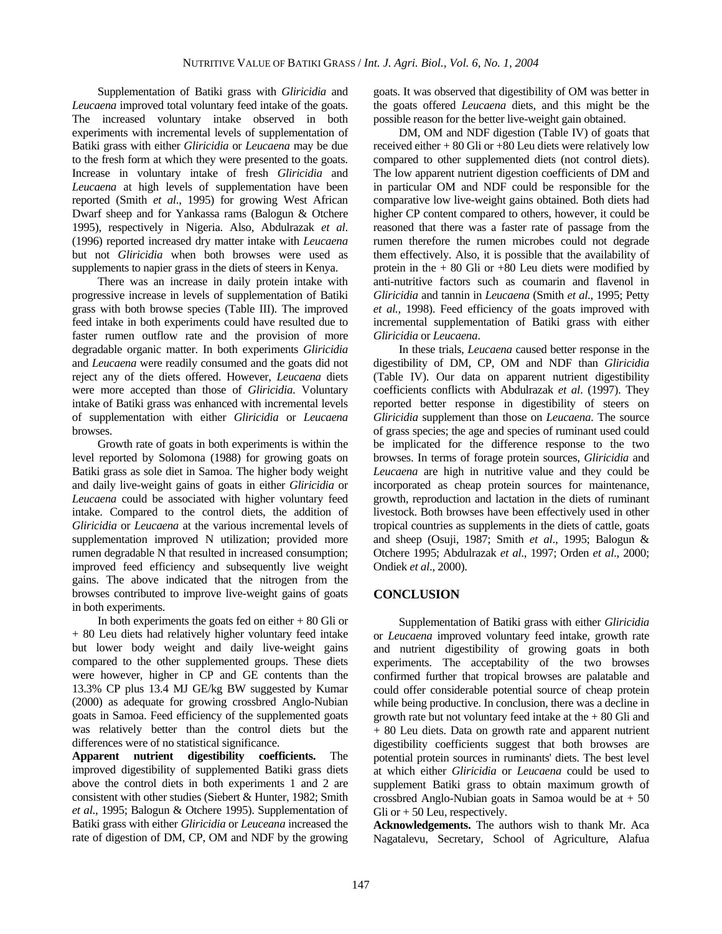Supplementation of Batiki grass with *Gliricidia* and *Leucaena* improved total voluntary feed intake of the goats. The increased voluntary intake observed in both experiments with incremental levels of supplementation of Batiki grass with either *Gliricidia* or *Leucaena* may be due to the fresh form at which they were presented to the goats. Increase in voluntary intake of fresh *Gliricidia* and *Leucaena* at high levels of supplementation have been reported (Smith *et al*., 1995) for growing West African Dwarf sheep and for Yankassa rams (Balogun & Otchere 1995), respectively in Nigeria. Also, Abdulrazak *et al*. (1996) reported increased dry matter intake with *Leucaena* but not *Gliricidia* when both browses were used as supplements to napier grass in the diets of steers in Kenya.

There was an increase in daily protein intake with progressive increase in levels of supplementation of Batiki grass with both browse species (Table III). The improved feed intake in both experiments could have resulted due to faster rumen outflow rate and the provision of more degradable organic matter. In both experiments *Gliricidia* and *Leucaena* were readily consumed and the goats did not reject any of the diets offered. However, *Leucaena* diets were more accepted than those of *Gliricidia*. Voluntary intake of Batiki grass was enhanced with incremental levels of supplementation with either *Gliricidia* or *Leucaena* browses.

Growth rate of goats in both experiments is within the level reported by Solomona (1988) for growing goats on Batiki grass as sole diet in Samoa. The higher body weight and daily live-weight gains of goats in either *Gliricidia* or *Leucaena* could be associated with higher voluntary feed intake. Compared to the control diets, the addition of *Gliricidia* or *Leucaena* at the various incremental levels of supplementation improved N utilization; provided more rumen degradable N that resulted in increased consumption; improved feed efficiency and subsequently live weight gains. The above indicated that the nitrogen from the browses contributed to improve live-weight gains of goats in both experiments.

In both experiments the goats fed on either  $+80$  Gli or + 80 Leu diets had relatively higher voluntary feed intake but lower body weight and daily live-weight gains compared to the other supplemented groups. These diets were however, higher in CP and GE contents than the 13.3% CP plus 13.4 MJ GE/kg BW suggested by Kumar (2000) as adequate for growing crossbred Anglo-Nubian goats in Samoa. Feed efficiency of the supplemented goats was relatively better than the control diets but the differences were of no statistical significance.

**Apparent nutrient digestibility coefficients.** The improved digestibility of supplemented Batiki grass diets above the control diets in both experiments 1 and 2 are consistent with other studies (Siebert & Hunter, 1982; Smith *et al*., 1995; Balogun & Otchere 1995). Supplementation of Batiki grass with either *Gliricidia* or *Leuceana* increased the rate of digestion of DM, CP, OM and NDF by the growing

goats. It was observed that digestibility of OM was better in the goats offered *Leucaena* diets, and this might be the possible reason for the better live-weight gain obtained.

DM, OM and NDF digestion (Table IV) of goats that received either + 80 Gli or +80 Leu diets were relatively low compared to other supplemented diets (not control diets). The low apparent nutrient digestion coefficients of DM and in particular OM and NDF could be responsible for the comparative low live-weight gains obtained. Both diets had higher CP content compared to others, however, it could be reasoned that there was a faster rate of passage from the rumen therefore the rumen microbes could not degrade them effectively. Also, it is possible that the availability of protein in the  $+80$  Gli or  $+80$  Leu diets were modified by anti-nutritive factors such as coumarin and flavenol in *Gliricidia* and tannin in *Leucaena* (Smith *et al*., 1995; Petty *et al.*, 1998). Feed efficiency of the goats improved with incremental supplementation of Batiki grass with either *Gliricidia* or *Leucaena*.

In these trials, *Leucaena* caused better response in the digestibility of DM, CP, OM and NDF than *Gliricidia* (Table IV). Our data on apparent nutrient digestibility coefficients conflicts with Abdulrazak *et al*. (1997). They reported better response in digestibility of steers on *Gliricidia* supplement than those on *Leucaena*. The source of grass species; the age and species of ruminant used could be implicated for the difference response to the two browses. In terms of forage protein sources, *Gliricidia* and *Leucaena* are high in nutritive value and they could be incorporated as cheap protein sources for maintenance, growth, reproduction and lactation in the diets of ruminant livestock. Both browses have been effectively used in other tropical countries as supplements in the diets of cattle, goats and sheep (Osuji, 1987; Smith *et al*., 1995; Balogun & Otchere 1995; Abdulrazak *et al*., 1997; Orden *et al*., 2000; Ondiek *et al*., 2000).

## **CONCLUSION**

Supplementation of Batiki grass with either *Gliricidia* or *Leucaena* improved voluntary feed intake, growth rate and nutrient digestibility of growing goats in both experiments. The acceptability of the two browses confirmed further that tropical browses are palatable and could offer considerable potential source of cheap protein while being productive. In conclusion, there was a decline in growth rate but not voluntary feed intake at the  $+80$  Gli and + 80 Leu diets. Data on growth rate and apparent nutrient digestibility coefficients suggest that both browses are potential protein sources in ruminants' diets. The best level at which either *Gliricidia* or *Leucaena* could be used to supplement Batiki grass to obtain maximum growth of crossbred Anglo-Nubian goats in Samoa would be at  $+50$ Gli or  $+50$  Leu, respectively.

**Acknowledgements.** The authors wish to thank Mr. Aca Nagatalevu, Secretary, School of Agriculture, Alafua